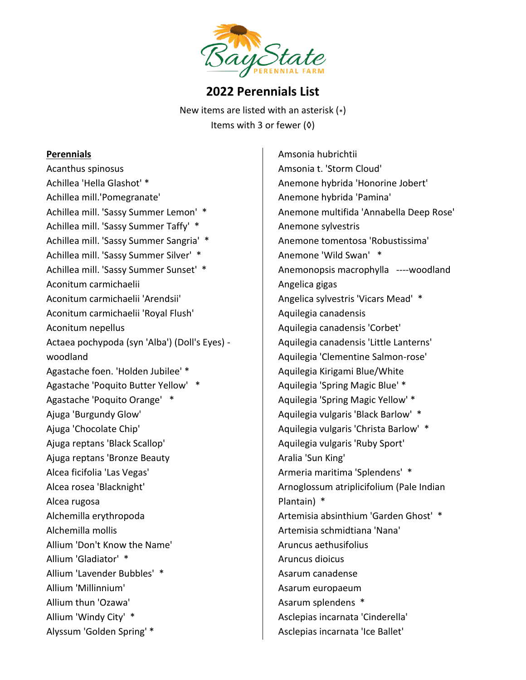

## **2022 Perennials List**

New items are listed with an asterisk (\*) Items with 3 or fewer (◊)

## **Perennials**

Acanthus spinosus Achillea 'Hella Glashot' \* Achillea mill.'Pomegranate' Achillea mill. 'Sassy Summer Lemon' \* Achillea mill. 'Sassy Summer Taffy' \* Achillea mill. 'Sassy Summer Sangria' \* Achillea mill. 'Sassy Summer Silver' \* Achillea mill. 'Sassy Summer Sunset' \* Aconitum carmichaelii Aconitum carmichaelii 'Arendsii' Aconitum carmichaelii 'Royal Flush' Aconitum nepellus Actaea pochypoda (syn 'Alba') (Doll's Eyes) woodland Agastache foen. 'Holden Jubilee' \* Agastache 'Poquito Butter Yellow' \* Agastache 'Poquito Orange' \* Ajuga 'Burgundy Glow' Ajuga 'Chocolate Chip' Ajuga reptans 'Black Scallop' Ajuga reptans 'Bronze Beauty Alcea ficifolia 'Las Vegas' Alcea rosea 'Blacknight' Alcea rugosa Alchemilla erythropoda Alchemilla mollis Allium 'Don't Know the Name' Allium 'Gladiator' \* Allium 'Lavender Bubbles' \* Allium 'Millinnium' Allium thun 'Ozawa' Allium 'Windy City' \* Alyssum 'Golden Spring' \*

Amsonia hubrichtii Amsonia t. 'Storm Cloud' Anemone hybrida 'Honorine Jobert' Anemone hybrida 'Pamina' Anemone multifida 'Annabella Deep Rose' Anemone sylvestris Anemone tomentosa 'Robustissima' Anemone 'Wild Swan' \* Anemonopsis macrophylla ----woodland Angelica gigas Angelica sylvestris 'Vicars Mead' \* Aquilegia canadensis Aquilegia canadensis 'Corbet' Aquilegia canadensis 'Little Lanterns' Aquilegia 'Clementine Salmon-rose' Aquilegia Kirigami Blue/White Aquilegia 'Spring Magic Blue' \* Aquilegia 'Spring Magic Yellow' \* Aquilegia vulgaris 'Black Barlow' \* Aquilegia vulgaris 'Christa Barlow' \* Aquilegia vulgaris 'Ruby Sport' Aralia 'Sun King' Armeria maritima 'Splendens' \* Arnoglossum atriplicifolium (Pale Indian Plantain) \* Artemisia absinthium 'Garden Ghost' \* Artemisia schmidtiana 'Nana' Aruncus aethusifolius Aruncus dioicus Asarum canadense Asarum europaeum Asarum splendens \* Asclepias incarnata 'Cinderella' Asclepias incarnata 'Ice Ballet'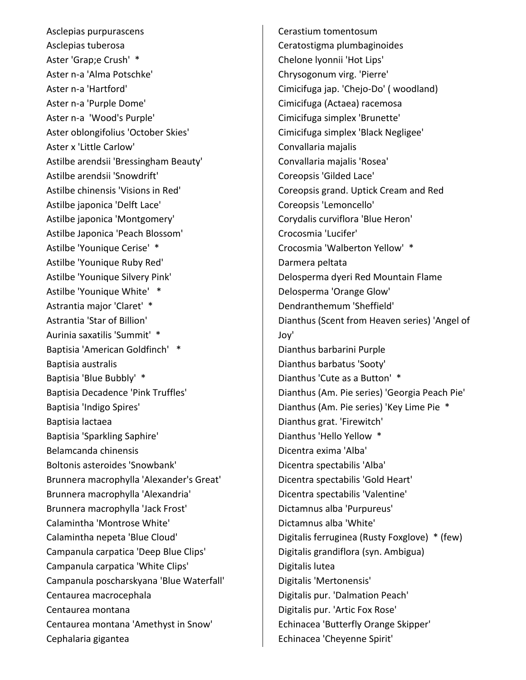Asclepias purpurascens Asclepias tuberosa Aster 'Grap;e Crush' \* Aster n-a 'Alma Potschke' Aster n-a 'Hartford' Aster n-a 'Purple Dome' Aster n-a 'Wood's Purple' Aster oblongifolius 'October Skies' Aster x 'Little Carlow' Astilbe arendsii 'Bressingham Beauty' Astilbe arendsii 'Snowdrift' Astilbe chinensis 'Visions in Red' Astilbe japonica 'Delft Lace' Astilbe japonica 'Montgomery' Astilbe Japonica 'Peach Blossom' Astilbe 'Younique Cerise' \* Astilbe 'Younique Ruby Red' Astilbe 'Younique Silvery Pink' Astilbe 'Younique White' \* Astrantia major 'Claret' \* Astrantia 'Star of Billion' Aurinia saxatilis 'Summit' \* Baptisia 'American Goldfinch' \* Baptisia australis Baptisia 'Blue Bubbly' \* Baptisia Decadence 'Pink Truffles' Baptisia 'Indigo Spires' Baptisia lactaea Baptisia 'Sparkling Saphire' Belamcanda chinensis Boltonis asteroides 'Snowbank' Brunnera macrophylla 'Alexander's Great' Brunnera macrophylla 'Alexandria' Brunnera macrophylla 'Jack Frost' Calamintha 'Montrose White' Calamintha nepeta 'Blue Cloud' Campanula carpatica 'Deep Blue Clips' Campanula carpatica 'White Clips' Campanula poscharskyana 'Blue Waterfall' Centaurea macrocephala Centaurea montana Centaurea montana 'Amethyst in Snow' Cephalaria gigantea

Cerastium tomentosum Ceratostigma plumbaginoides Chelone lyonnii 'Hot Lips' Chrysogonum virg. 'Pierre' Cimicifuga jap. 'Chejo-Do' ( woodland) Cimicifuga (Actaea) racemosa Cimicifuga simplex 'Brunette' Cimicifuga simplex 'Black Negligee' Convallaria majalis Convallaria majalis 'Rosea' Coreopsis 'Gilded Lace' Coreopsis grand. Uptick Cream and Red Coreopsis 'Lemoncello' Corydalis curviflora 'Blue Heron' Crocosmia 'Lucifer' Crocosmia 'Walberton Yellow' \* Darmera peltata Delosperma dyeri Red Mountain Flame Delosperma 'Orange Glow' Dendranthemum 'Sheffield' Dianthus (Scent from Heaven series) 'Angel of Joy' Dianthus barbarini Purple Dianthus barbatus 'Sooty' Dianthus 'Cute as a Button' \* Dianthus (Am. Pie series) 'Georgia Peach Pie' Dianthus (Am. Pie series) 'Key Lime Pie \* Dianthus grat. 'Firewitch' Dianthus 'Hello Yellow \* Dicentra exima 'Alba' Dicentra spectabilis 'Alba' Dicentra spectabilis 'Gold Heart' Dicentra spectabilis 'Valentine' Dictamnus alba 'Purpureus' Dictamnus alba 'White' Digitalis ferruginea (Rusty Foxglove) \* (few) Digitalis grandiflora (syn. Ambigua) Digitalis lutea Digitalis 'Mertonensis' Digitalis pur. 'Dalmation Peach' Digitalis pur. 'Artic Fox Rose' Echinacea 'Butterfly Orange Skipper' Echinacea 'Cheyenne Spirit'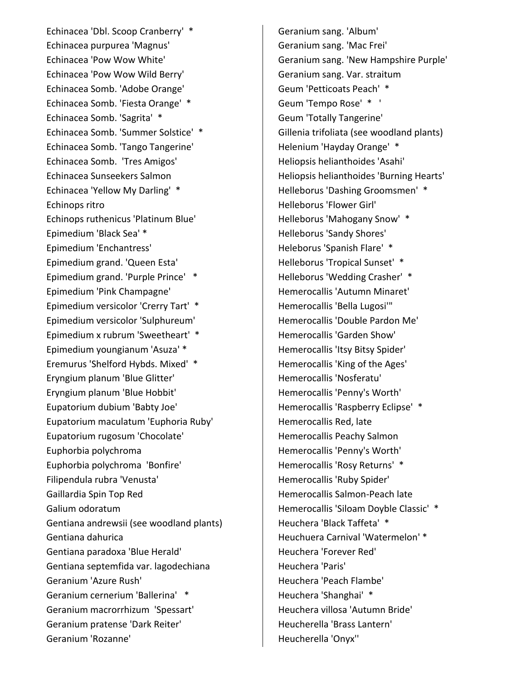Echinacea 'Dbl. Scoop Cranberry' \* Echinacea purpurea 'Magnus' Echinacea 'Pow Wow White' Echinacea 'Pow Wow Wild Berry' Echinacea Somb. 'Adobe Orange' Echinacea Somb. 'Fiesta Orange' \* Echinacea Somb. 'Sagrita' \* Echinacea Somb. 'Summer Solstice' \* Echinacea Somb. 'Tango Tangerine' Echinacea Somb. 'Tres Amigos' Echinacea Sunseekers Salmon Echinacea 'Yellow My Darling' \* Echinops ritro Echinops ruthenicus 'Platinum Blue' Epimedium 'Black Sea' \* Epimedium 'Enchantress' Epimedium grand. 'Queen Esta' Epimedium grand. 'Purple Prince' \* Epimedium 'Pink Champagne' Epimedium versicolor 'Crerry Tart' \* Epimedium versicolor 'Sulphureum' Epimedium x rubrum 'Sweetheart' \* Epimedium youngianum 'Asuza' \* Eremurus 'Shelford Hybds. Mixed' \* Eryngium planum 'Blue Glitter' Eryngium planum 'Blue Hobbit' Eupatorium dubium 'Babty Joe' Eupatorium maculatum 'Euphoria Ruby' Eupatorium rugosum 'Chocolate' Euphorbia polychroma Euphorbia polychroma 'Bonfire' Filipendula rubra 'Venusta' Gaillardia Spin Top Red Galium odoratum Gentiana andrewsii (see woodland plants) Gentiana dahurica Gentiana paradoxa 'Blue Herald' Gentiana septemfida var. lagodechiana Geranium 'Azure Rush' Geranium cernerium 'Ballerina' \* Geranium macrorrhizum 'Spessart' Geranium pratense 'Dark Reiter' Geranium 'Rozanne'

Geranium sang. 'Album' Geranium sang. 'Mac Frei' Geranium sang. 'New Hampshire Purple' Geranium sang. Var. straitum Geum 'Petticoats Peach' \* Geum 'Tempo Rose' \* ' Geum 'Totally Tangerine' Gillenia trifoliata (see woodland plants) Helenium 'Hayday Orange' \* Heliopsis helianthoides 'Asahi' Heliopsis helianthoides 'Burning Hearts' Helleborus 'Dashing Groomsmen' \* Helleborus 'Flower Girl' Helleborus 'Mahogany Snow' \* Helleborus 'Sandy Shores' Heleborus 'Spanish Flare' \* Helleborus 'Tropical Sunset' \* Helleborus 'Wedding Crasher' \* Hemerocallis 'Autumn Minaret' Hemerocallis 'Bella Lugosi'" Hemerocallis 'Double Pardon Me' Hemerocallis 'Garden Show' Hemerocallis 'Itsy Bitsy Spider' Hemerocallis 'King of the Ages' Hemerocallis 'Nosferatu' Hemerocallis 'Penny's Worth' Hemerocallis 'Raspberry Eclipse' \* Hemerocallis Red, late Hemerocallis Peachy Salmon Hemerocallis 'Penny's Worth' Hemerocallis 'Rosy Returns' \* Hemerocallis 'Ruby Spider' Hemerocallis Salmon-Peach late Hemerocallis 'Siloam Doyble Classic' \* Heuchera 'Black Taffeta' \* Heuchuera Carnival 'Watermelon' \* Heuchera 'Forever Red' Heuchera 'Paris' Heuchera 'Peach Flambe' Heuchera 'Shanghai' \* Heuchera villosa 'Autumn Bride' Heucherella 'Brass Lantern' Heucherella 'Onyx''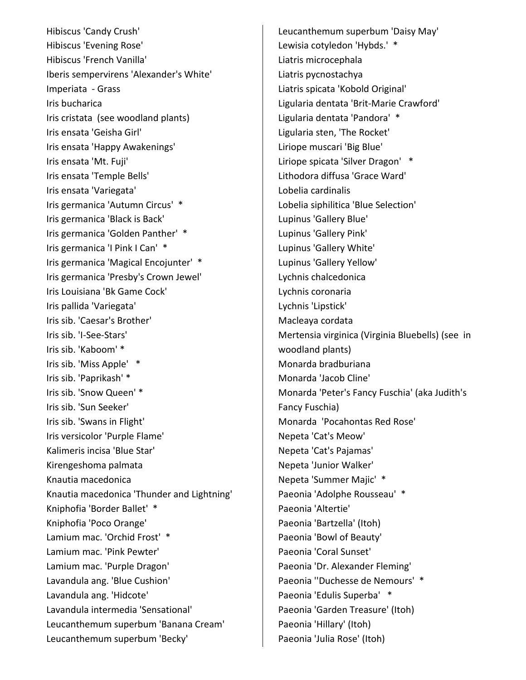Hibiscus 'Candy Crush' Hibiscus 'Evening Rose' Hibiscus 'French Vanilla' Iberis sempervirens 'Alexander's White' Imperiata - Grass Iris bucharica Iris cristata (see woodland plants) Iris ensata 'Geisha Girl' Iris ensata 'Happy Awakenings' Iris ensata 'Mt. Fuji' Iris ensata 'Temple Bells' Iris ensata 'Variegata' Iris germanica 'Autumn Circus' \* Iris germanica 'Black is Back' Iris germanica 'Golden Panther' \* Iris germanica 'I Pink I Can' \* Iris germanica 'Magical Encojunter' \* Iris germanica 'Presby's Crown Jewel' Iris Louisiana 'Bk Game Cock' Iris pallida 'Variegata' Iris sib. 'Caesar's Brother' Iris sib. 'I-See-Stars' Iris sib. 'Kaboom' \* Iris sib. 'Miss Apple' \* Iris sib. 'Paprikash' \* Iris sib. 'Snow Queen' \* Iris sib. 'Sun Seeker' Iris sib. 'Swans in Flight' Iris versicolor 'Purple Flame' Kalimeris incisa 'Blue Star' Kirengeshoma palmata Knautia macedonica Knautia macedonica 'Thunder and Lightning' Kniphofia 'Border Ballet' \* Kniphofia 'Poco Orange' Lamium mac. 'Orchid Frost' \* Lamium mac. 'Pink Pewter' Lamium mac. 'Purple Dragon' Lavandula ang. 'Blue Cushion' Lavandula ang. 'Hidcote' Lavandula intermedia 'Sensational' Leucanthemum superbum 'Banana Cream' Leucanthemum superbum 'Becky'

Leucanthemum superbum 'Daisy May' Lewisia cotyledon 'Hybds.' \* Liatris microcephala Liatris pycnostachya Liatris spicata 'Kobold Original' Ligularia dentata 'Brit-Marie Crawford' Ligularia dentata 'Pandora' \* Ligularia sten, 'The Rocket' Liriope muscari 'Big Blue' Liriope spicata 'Silver Dragon' \* Lithodora diffusa 'Grace Ward' Lobelia cardinalis Lobelia siphilitica 'Blue Selection' Lupinus 'Gallery Blue' Lupinus 'Gallery Pink' Lupinus 'Gallery White' Lupinus 'Gallery Yellow' Lychnis chalcedonica Lychnis coronaria Lychnis 'Lipstick' Macleaya cordata Mertensia virginica (Virginia Bluebells) (see in woodland plants) Monarda bradburiana Monarda 'Jacob Cline' Monarda 'Peter's Fancy Fuschia' (aka Judith's Fancy Fuschia) Monarda 'Pocahontas Red Rose' Nepeta 'Cat's Meow' Nepeta 'Cat's Pajamas' Nepeta 'Junior Walker' Nepeta 'Summer Majic' \* Paeonia 'Adolphe Rousseau' \* Paeonia 'Altertie' Paeonia 'Bartzella' (Itoh) Paeonia 'Bowl of Beauty' Paeonia 'Coral Sunset' Paeonia 'Dr. Alexander Fleming' Paeonia ''Duchesse de Nemours' \* Paeonia 'Edulis Superba' \* Paeonia 'Garden Treasure' (Itoh) Paeonia 'Hillary' (Itoh) Paeonia 'Julia Rose' (Itoh)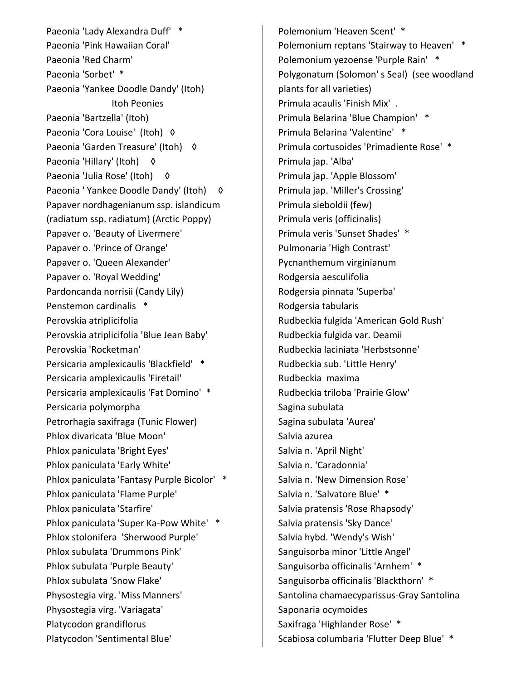Paeonia 'Lady Alexandra Duff' \* Paeonia 'Pink Hawaiian Coral' Paeonia 'Red Charm' Paeonia 'Sorbet' \* Paeonia 'Yankee Doodle Dandy' (Itoh) Itoh Peonies Paeonia 'Bartzella' (Itoh) Paeonia 'Cora Louise' (Itoh) ♦ Paeonia 'Garden Treasure' (Itoh)  $\Diamond$ Paeonia 'Hillary' (Itoh)  $\Diamond$ Paeonia 'Julia Rose' (Itoh)  $\Diamond$ Paeonia ' Yankee Doodle Dandy' (Itoh)  $\Diamond$ Papaver nordhagenianum ssp. islandicum (radiatum ssp. radiatum) (Arctic Poppy) Papaver o. 'Beauty of Livermere' Papaver o. 'Prince of Orange' Papaver o. 'Queen Alexander' Papaver o. 'Royal Wedding' Pardoncanda norrisii (Candy Lily) Penstemon cardinalis \* Perovskia atriplicifolia Perovskia atriplicifolia 'Blue Jean Baby' Perovskia 'Rocketman' Persicaria amplexicaulis 'Blackfield' \* Persicaria amplexicaulis 'Firetail' Persicaria amplexicaulis 'Fat Domino' \* Persicaria polymorpha Petrorhagia saxifraga (Tunic Flower) Phlox divaricata 'Blue Moon' Phlox paniculata 'Bright Eyes' Phlox paniculata 'Early White' Phlox paniculata 'Fantasy Purple Bicolor' \* Phlox paniculata 'Flame Purple' Phlox paniculata 'Starfire' Phlox paniculata 'Super Ka-Pow White' \* Phlox stolonifera 'Sherwood Purple' Phlox subulata 'Drummons Pink' Phlox subulata 'Purple Beauty' Phlox subulata 'Snow Flake' Physostegia virg. 'Miss Manners' Physostegia virg. 'Variagata' Platycodon grandiflorus Platycodon 'Sentimental Blue'

Polemonium 'Heaven Scent' \* Polemonium reptans 'Stairway to Heaven' \* Polemonium yezoense 'Purple Rain' \* Polygonatum (Solomon' s Seal) (see woodland plants for all varieties) Primula acaulis 'Finish Mix' . Primula Belarina 'Blue Champion' \* Primula Belarina 'Valentine' \* Primula cortusoides 'Primadiente Rose' \* Primula jap. 'Alba' Primula jap. 'Apple Blossom' Primula jap. 'Miller's Crossing' Primula sieboldii (few) Primula veris (officinalis) Primula veris 'Sunset Shades' \* Pulmonaria 'High Contrast' Pycnanthemum virginianum Rodgersia aesculifolia Rodgersia pinnata 'Superba' Rodgersia tabularis Rudbeckia fulgida 'American Gold Rush' Rudbeckia fulgida var. Deamii Rudbeckia laciniata 'Herbstsonne' Rudbeckia sub. 'Little Henry' Rudbeckia maxima Rudbeckia triloba 'Prairie Glow' Sagina subulata Sagina subulata 'Aurea' Salvia azurea Salvia n. 'April Night' Salvia n. 'Caradonnia' Salvia n. 'New Dimension Rose' Salvia n. 'Salvatore Blue' \* Salvia pratensis 'Rose Rhapsody' Salvia pratensis 'Sky Dance' Salvia hybd. 'Wendy's Wish' Sanguisorba minor 'Little Angel' Sanguisorba officinalis 'Arnhem' \* Sanguisorba officinalis 'Blackthorn' \* Santolina chamaecyparissus-Gray Santolina Saponaria ocymoides Saxifraga 'Highlander Rose' \* Scabiosa columbaria 'Flutter Deep Blue' \*